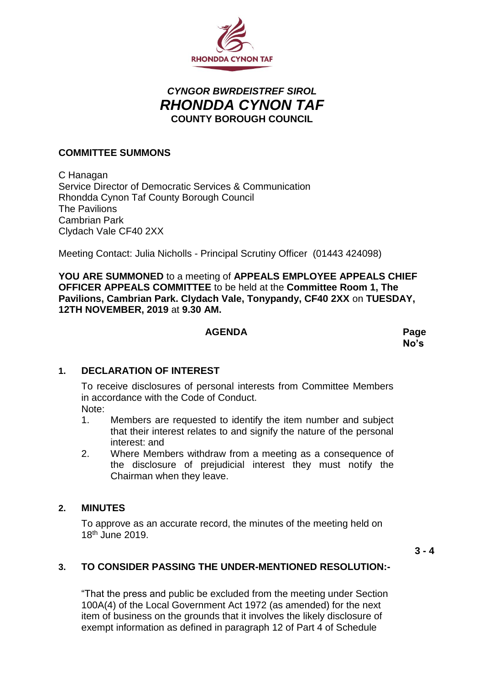

# *CYNGOR BWRDEISTREF SIROL RHONDDA CYNON TAF* **COUNTY BOROUGH COUNCIL**

#### **COMMITTEE SUMMONS**

C Hanagan Service Director of Democratic Services & Communication Rhondda Cynon Taf County Borough Council The Pavilions Cambrian Park Clydach Vale CF40 2XX

Meeting Contact: Julia Nicholls - Principal Scrutiny Officer (01443 424098)

**YOU ARE SUMMONED** to a meeting of **APPEALS EMPLOYEE APPEALS CHIEF OFFICER APPEALS COMMITTEE** to be held at the **Committee Room 1, The Pavilions, Cambrian Park. Clydach Vale, Tonypandy, CF40 2XX** on **TUESDAY, 12TH NOVEMBER, 2019** at **9.30 AM.**

#### **AGENDA Page**

# **No's**

# **1. DECLARATION OF INTEREST**

To receive disclosures of personal interests from Committee Members in accordance with the Code of Conduct.

- Note:
- 1. Members are requested to identify the item number and subject that their interest relates to and signify the nature of the personal interest: and
- 2. Where Members withdraw from a meeting as a consequence of the disclosure of prejudicial interest they must notify the Chairman when they leave.

#### **2. MINUTES**

To approve as an accurate record, the minutes of the meeting held on 18th June 2019.

 $3 - 4$ 

# **3. TO CONSIDER PASSING THE UNDER-MENTIONED RESOLUTION:-**

"That the press and public be excluded from the meeting under Section 100A(4) of the Local Government Act 1972 (as amended) for the next item of business on the grounds that it involves the likely disclosure of exempt information as defined in paragraph 12 of Part 4 of Schedule